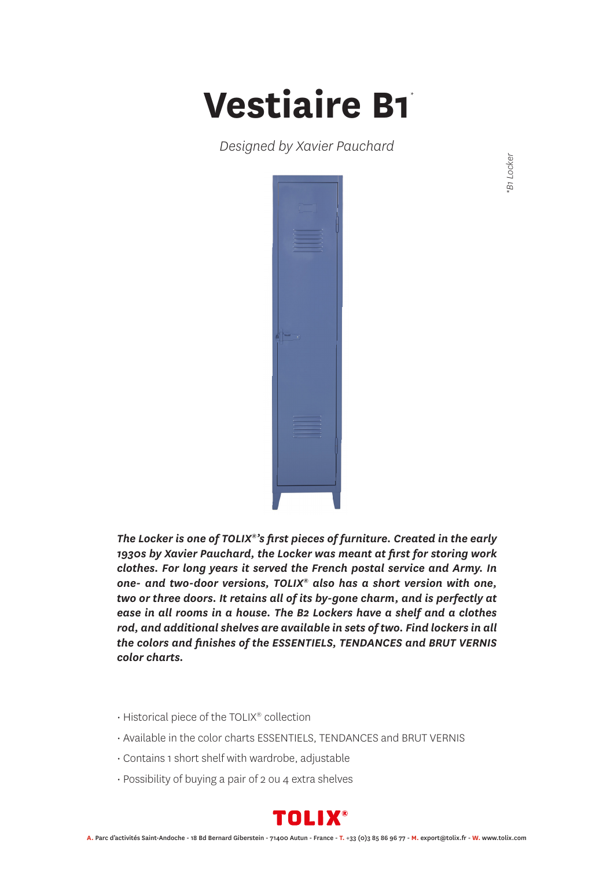## **Vestiaire B1** *\**

*Designed by Xavier Pauchard*



*The Locker is one of TOLIX®'s first pieces of furniture. Created in the early 1930s by Xavier Pauchard, the Locker was meant at first for storing work clothes. For long years it served the French postal service and Army. In one- and two-door versions, TOLIX® also has a short version with one, two or three doors. It retains all of its by-gone charm, and is perfectly at ease in all rooms in a house. The B2 Lockers have a shelf and a clothes rod, and additional shelves are available in sets of two. Find lockers in all the colors and finishes of the ESSENTIELS, TENDANCES and BRUT VERNIS color charts.*

- Historical piece of the TOLIX® collection
- Available in the color charts ESSENTIELS, TENDANCES and BRUT VERNIS
- Contains 1 short shelf with wardrobe, adjustable
- Possibility of buying a pair of 2 ou 4 extra shelves